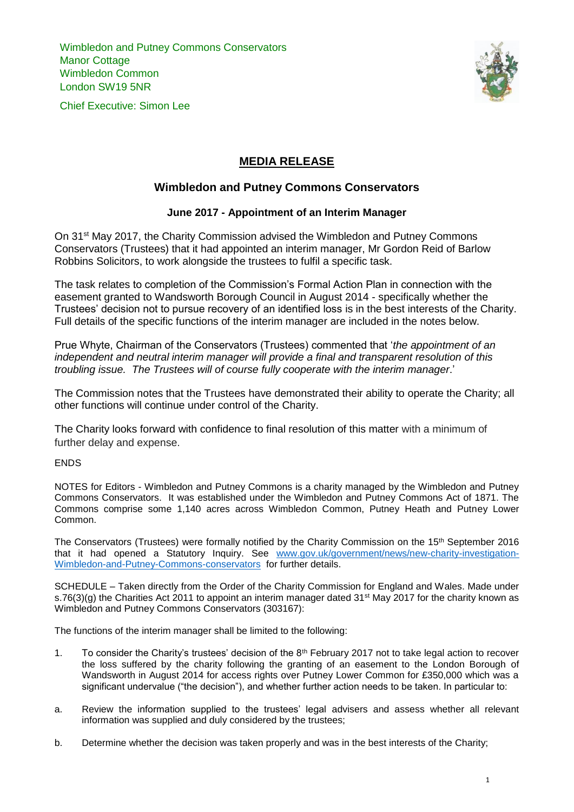Wimbledon and Putney Commons Conservators **Manor Cottage** Wimbledon Common London SW19 5NR

Chief Executive: Simon Lee



## **MEDIA RELEASE**

## **Wimbledon and Putney Commons Conservators**

## **June 2017 - Appointment of an Interim Manager**

On 31<sup>st</sup> May 2017, the Charity Commission advised the Wimbledon and Putney Commons Conservators (Trustees) that it had appointed an interim manager, Mr Gordon Reid of Barlow Robbins Solicitors, to work alongside the trustees to fulfil a specific task.

The task relates to completion of the Commission's Formal Action Plan in connection with the easement granted to Wandsworth Borough Council in August 2014 - specifically whether the Trustees' decision not to pursue recovery of an identified loss is in the best interests of the Charity. Full details of the specific functions of the interim manager are included in the notes below.

Prue Whyte, Chairman of the Conservators (Trustees) commented that '*the appointment of an independent and neutral interim manager will provide a final and transparent resolution of this troubling issue. The Trustees will of course fully cooperate with the interim manager*.'

The Commission notes that the Trustees have demonstrated their ability to operate the Charity; all other functions will continue under control of the Charity.

The Charity looks forward with confidence to final resolution of this matter with a minimum of further delay and expense.

ENDS

NOTES for Editors - Wimbledon and Putney Commons is a charity managed by the Wimbledon and Putney Commons Conservators. It was established under the Wimbledon and Putney Commons Act of 1871. The Commons comprise some 1,140 acres across Wimbledon Common, Putney Heath and Putney Lower Common.

The Conservators (Trustees) were formally notified by the Charity Commission on the 15th September 2016 that it had opened a Statutory Inquiry. See [www.gov.uk/government/news/new-charity-investigation-](http://www.gov.uk/government/news/new-charity-investigation-Wimbledon-and-Putney-Commons-conservators)[Wimbledon-and-Putney-Commons-conservators](http://www.gov.uk/government/news/new-charity-investigation-Wimbledon-and-Putney-Commons-conservators) for further details.

SCHEDULE – Taken directly from the Order of the Charity Commission for England and Wales. Made under s.76(3)(g) the Charities Act 2011 to appoint an interim manager dated 31<sup>st</sup> May 2017 for the charity known as Wimbledon and Putney Commons Conservators (303167):

The functions of the interim manager shall be limited to the following:

- 1. To consider the Charity's trustees' decision of the 8th February 2017 not to take legal action to recover the loss suffered by the charity following the granting of an easement to the London Borough of Wandsworth in August 2014 for access rights over Putney Lower Common for £350,000 which was a significant undervalue ("the decision"), and whether further action needs to be taken. In particular to:
- a. Review the information supplied to the trustees' legal advisers and assess whether all relevant information was supplied and duly considered by the trustees;
- b. Determine whether the decision was taken properly and was in the best interests of the Charity;